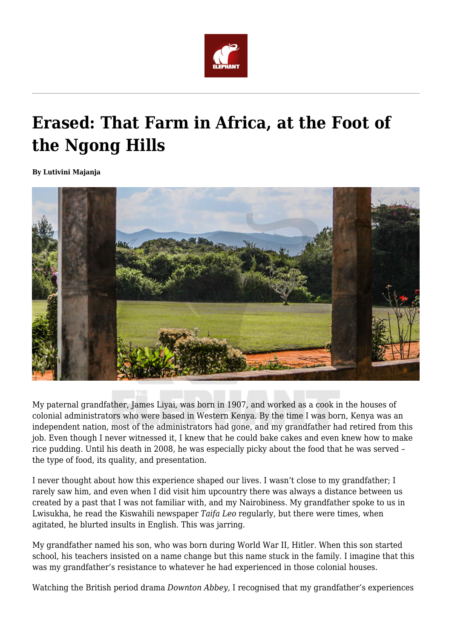

## **Erased: That Farm in Africa, at the Foot of the Ngong Hills**

**By Lutivini Majanja**



My paternal grandfather, James Liyai, was born in 1907, and worked as a cook in the houses of colonial administrators who were based in Western Kenya. By the time I was born, Kenya was an independent nation, most of the administrators had gone, and my grandfather had retired from this job. Even though I never witnessed it, I knew that he could bake cakes and even knew how to make rice pudding. Until his death in 2008, he was especially picky about the food that he was served – the type of food, its quality, and presentation.

I never thought about how this experience shaped our lives. I wasn't close to my grandfather; I rarely saw him, and even when I did visit him upcountry there was always a distance between us created by a past that I was not familiar with, and my Nairobiness. My grandfather spoke to us in Lwisukha, he read the Kiswahili newspaper *Taifa Leo* regularly, but there were times, when agitated, he blurted insults in English. This was jarring.

My grandfather named his son, who was born during World War II, Hitler. When this son started school, his teachers insisted on a name change but this name stuck in the family. I imagine that this was my grandfather's resistance to whatever he had experienced in those colonial houses.

Watching the British period drama *Downton Abbey,* I recognised that my grandfather's experiences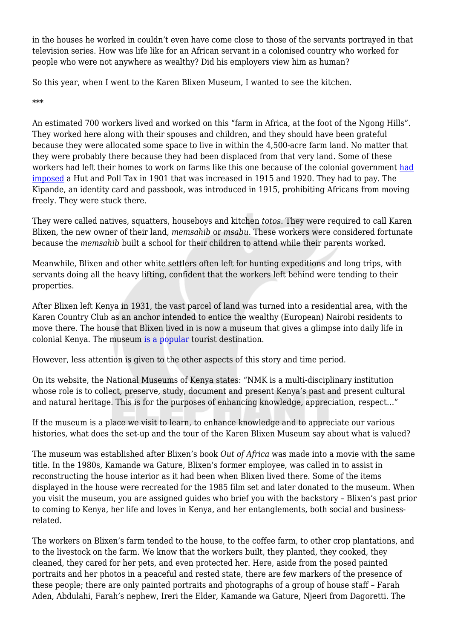in the houses he worked in couldn't even have come close to those of the servants portrayed in that television series. How was life like for an African servant in a colonised country who worked for people who were not anywhere as wealthy? Did his employers view him as human?

So this year, when I went to the Karen Blixen Museum, I wanted to see the kitchen.

\*\*\*

An estimated 700 workers lived and worked on this "farm in Africa, at the foot of the Ngong Hills". They worked here along with their spouses and children, and they should have been grateful because they were allocated some space to live in within the 4,500-acre farm land. No matter that they were probably there because they had been displaced from that very land. Some of these workers [had](https://twitter.com/kresearcher/status/1009494400723013633) left their homes to work on farms like this one because of the colonial government had [imposed](https://twitter.com/kresearcher/status/1009494400723013633) a Hut and Poll Tax in 1901 that was increased in 1915 and 1920. They had to pay. The Kipande, an identity card and passbook, was introduced in 1915, prohibiting Africans from moving freely. They were stuck there.

They were called natives, squatters, houseboys and kitchen *totos*. They were required to call Karen Blixen, the new owner of their land, *memsahib* or *msabu*. These workers were considered fortunate because the *memsahib* built a school for their children to attend while their parents worked.

Meanwhile, Blixen and other white settlers often left for hunting expeditions and long trips, with servants doing all the heavy lifting, confident that the workers left behind were tending to their properties.

After Blixen left Kenya in 1931, the vast parcel of land was turned into a residential area, with the Karen Country Club as an anchor intended to entice the wealthy (European) Nairobi residents to move there. The house that Blixen lived in is now a museum that gives a glimpse into daily life in colonial Kenya. The museum [is a popular](https://www.businessdailyafrica.com/lifestyle/travel/Old-house-of-35-000-visitors/3815716-4116406-qvs3p1/index.html) tourist destination.

However, less attention is given to the other aspects of this story and time period.

On its website, the National Museums of Kenya states: "NMK is a multi-disciplinary institution whose role is to collect, preserve, study, document and present Kenya's past and present cultural and natural heritage. This is for the purposes of enhancing knowledge, appreciation, respect…"

If the museum is a place we visit to learn, to enhance knowledge and to appreciate our various histories, what does the set-up and the tour of the Karen Blixen Museum say about what is valued?

The museum was established after Blixen's book *Out of Africa* was made into a movie with the same title. In the 1980s, Kamande wa Gature, Blixen's former employee, was called in to assist in reconstructing the house interior as it had been when Blixen lived there. Some of the items displayed in the house were recreated for the 1985 film set and later donated to the museum. When you visit the museum, you are assigned guides who brief you with the backstory – Blixen's past prior to coming to Kenya, her life and loves in Kenya, and her entanglements, both social and businessrelated.

The workers on Blixen's farm tended to the house, to the coffee farm, to other crop plantations, and to the livestock on the farm. We know that the workers built, they planted, they cooked, they cleaned, they cared for her pets, and even protected her. Here, aside from the posed painted portraits and her photos in a peaceful and rested state, there are few markers of the presence of these people; there are only painted portraits and photographs of a group of house staff – Farah Aden, Abdulahi, Farah's nephew, Ireri the Elder, Kamande wa Gature, Njeeri from Dagoretti. The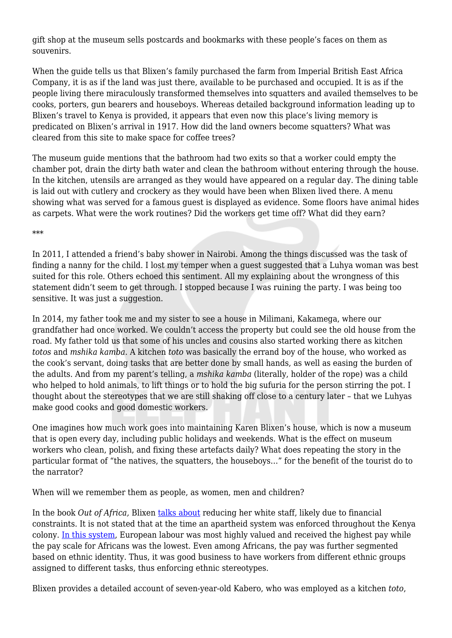gift shop at the museum sells postcards and bookmarks with these people's faces on them as souvenirs.

When the guide tells us that Blixen's family purchased the farm from Imperial British East Africa Company, it is as if the land was just there, available to be purchased and occupied. It is as if the people living there miraculously transformed themselves into squatters and availed themselves to be cooks, porters, gun bearers and houseboys. Whereas detailed background information leading up to Blixen's travel to Kenya is provided, it appears that even now this place's living memory is predicated on Blixen's arrival in 1917. How did the land owners become squatters? What was cleared from this site to make space for coffee trees?

The museum guide mentions that the bathroom had two exits so that a worker could empty the chamber pot, drain the dirty bath water and clean the bathroom without entering through the house. In the kitchen, utensils are arranged as they would have appeared on a regular day. The dining table is laid out with cutlery and crockery as they would have been when Blixen lived there. A menu showing what was served for a famous guest is displayed as evidence. Some floors have animal hides as carpets. What were the work routines? Did the workers get time off? What did they earn?

\*\*\*

In 2011, I attended a friend's baby shower in Nairobi. Among the things discussed was the task of finding a nanny for the child. I lost my temper when a guest suggested that a Luhya woman was best suited for this role. Others echoed this sentiment. All my explaining about the wrongness of this statement didn't seem to get through. I stopped because I was ruining the party. I was being too sensitive. It was just a suggestion.

In 2014, my father took me and my sister to see a house in Milimani, Kakamega, where our grandfather had once worked. We couldn't access the property but could see the old house from the road. My father told us that some of his uncles and cousins also started working there as kitchen *totos* and *mshika kamba*. A kitchen *toto* was basically the errand boy of the house, who worked as the cook's servant, doing tasks that are better done by small hands, as well as easing the burden of the adults. And from my parent's telling, a *mshika kamba* (literally, holder of the rope) was a child who helped to hold animals, to lift things or to hold the big sufuria for the person stirring the pot. I thought about the stereotypes that we are still shaking off close to a century later – that we Luhyas make good cooks and good domestic workers.

One imagines how much work goes into maintaining Karen Blixen's house, which is now a museum that is open every day, including public holidays and weekends. What is the effect on museum workers who clean, polish, and fixing these artefacts daily? What does repeating the story in the particular format of "the natives, the squatters, the houseboys..." for the benefit of the tourist do to the narrator?

When will we remember them as people, as women, men and children?

In the book *Out of Africa,* Blixen [talks about](https://www.nation.co.ke/kenya50/agriculture/Karen-Blixen-and-her-coffee-farming-trials-/2032860-2098506-kkaemnz/index.html) reducing her white staff, likely due to financial constraints. It is not stated that at the time an apartheid system was enforced throughout the Kenya colony. [In this system,](https://qz.com/africa/1080410/out-of-africa-karen-blixens-kenya-memoir-is-80-years-old-and-80-years-out-of-date/) European labour was most highly valued and received the highest pay while the pay scale for Africans was the lowest. Even among Africans, the pay was further segmented based on ethnic identity. Thus, it was good business to have workers from different ethnic groups assigned to different tasks, thus enforcing ethnic stereotypes.

Blixen provides a detailed account of seven-year-old Kabero, who was employed as a kitchen *toto*,